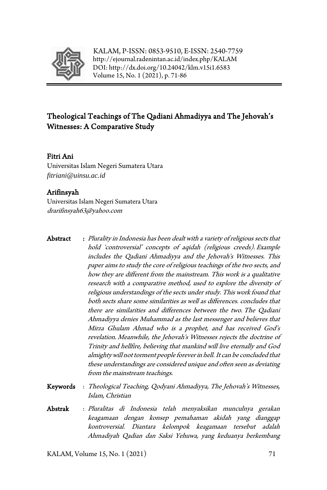

KALAM, P-ISSN: 0853-9510, E-ISSN: 2540-7759 <http://ejournal.radenintan.ac.id/index.php/KALAM> DOI[: http://dx.doi.org/10.24042/klm.v15i1.6583](http://dx.doi.org/10.24042/klm.v15i1.6583) Volume 15, No. 1 (2021), p. 71-86

# Theological Teachings of The Qadiani Ahmadiyya and The Jehovah's Witnesses: A Comparative Study

#### Fitri Ani

Universitas Islam Negeri Sumatera Utara *[fitriani@uinsu.ac.id](mailto:fitriani@uinsu.ac.id)*

#### Arifinsyah

Universitas Islam Negeri Sumatera Utara drarifinsyah63@yahoo.com

- Abstract : Plurality in Indonesia has been dealt with a variety of religious sects that hold 'controversial' concepts of aqidah (religious creeds). Example includes the Qadiani Ahmadiyya and the Jehovah's Witnesses. This paper aims to study the core of religious teachings of the two sects, and how they are different from the mainstream. This work is a qualitative research with a comparative method, used to explore the diversity of religious understandings of the sects under study. This work found that both sects share some similarities as well as differences. concludes that there are similarities and differences between the two. The Qadiani Ahmadiyya denies Muhammad as the last messenger and believes that Mirza Ghulam Ahmad who is a prophet, and has received God's revelation. Meanwhile, the Jehovah's Witnesses rejects the doctrine of Trinity and hellfire, believing that mankind will live eternally and God almighty will not torment people forever in hell. It can be concluded that these understandings are considered unique and often seen as deviating from the mainstream teachings.
- Keywords : Theological Teaching, Qodyani Ahmadiyya, The Jehovah's Witnesses, Islam, Christian
- Abstrak : Pluralitas di Indonesia telah menyaksikan munculnya gerakan keagamaan dengan konsep pemahaman akidah yang dianggap kontroversial. Diantara kelompok keagamaan tersebut adalah Ahmadiyah Qadian dan Saksi Yehuwa, yang keduanya berkembang

KALAM, Volume 15, No. 1  $(2021)$  71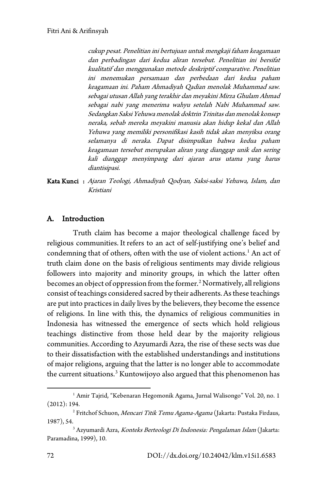cukup pesat. Penelitian ini bertujuan untuk mengkaji faham keagamaan dan perbadingan dari kedua aliran tersebut. Penelitian ini bersifat kualitatif dan menggunakan metode deskriptif comparative. Penelitian ini menemukan persamaan dan perbedaan dari kedua paham keagamaan ini. Paham Ahmadiyah Qadian menolak Muhammad saw. sebagai utusan Allah yang terakhir dan meyakini Mirza Ghulam Ahmad sebagai nabi yang menerima wahyu setelah Nabi Muhammad saw. Sedangkan Saksi Yehuwa menolak doktrin Trinitas dan menolak konsep neraka, sebab mereka meyakini manusia akan hidup kekal dan Allah Yehuwa yang memiliki personifikasi kasih tidak akan menyiksa orang selamanya di neraka. Dapat disimpulkan bahwa kedua paham keagamaan tersebut merupakan aliran yang dianggap unik dan sering kali dianggap menyimpang dari ajaran arus utama yang harus diantisipasi.

Kata Kunci : Ajaran Teologi, Ahmadiyah Qodyan, Saksi-saksi Yehuwa, Islam, dan Kristiani

## A. Introduction

Truth claim has become a major theological challenge faced by religious communities. It refers to an act of self-justifying one's belief and condemning that of others, often with the use of violent actions. [1](#page-1-0) An act of truth claim done on the basis of religious sentiments may divide religious followers into majority and minority groups, in which the latter often becomes an object of oppression from the former. [2](#page-1-1)Normatively, all religions consist of teachings considered sacred by their adherents. As these teachings are put into practices in daily lives by the believers, they become the essence of religions. In line with this, the dynamics of religious communities in Indonesia has witnessed the emergence of sects which hold religious teachings distinctive from those held dear by the majority religious communities. According to Azyumardi Azra, the rise of these sects was due to their dissatisfaction with the established understandings and institutions of major religions, arguing that the latter is no longer able to accommodate the current situations. [3](#page-1-2) Kuntowijoyo also argued that this phenomenon has

<span id="page-1-0"></span><sup>&</sup>lt;sup>1</sup> Amir Tajrid, "Kebenaran Hegomonik Agama, Jurnal Walisongo" Vol. 20, no. 1 (2012): 194.

<span id="page-1-1"></span><sup>&</sup>lt;sup>2</sup> Fritchof Schuon, *Mencari Titik Temu Agama-Agama* (Jakarta: Pustaka Firdaus,

<span id="page-1-2"></span><sup>1987), 54.&</sup>lt;br><sup>3</sup> Azyumardi Azra, *Konteks Berteologi Di Indonesia: Pengalaman Islam* (Jakarta: Paramadina, 1999), 10.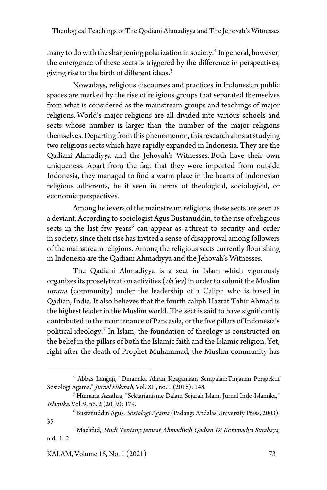many to do with the sharpening polarization in society. [4](#page-2-0) In general, however, the emergence of these sects is triggered by the difference in perspectives, giving rise to the birth of different ideas. [5](#page-2-1)

Nowadays, religious discourses and practices in Indonesian public spaces are marked by the rise of religious groups that separated themselves from what is considered as the mainstream groups and teachings of major religions. World's major religions are all divided into various schools and sects whose number is larger than the number of the major religions themselves. Departing from this phenomenon, this research aims at studying two religious sects which have rapidly expanded in Indonesia. They are the Qadiani Ahmadiyya and the Jehovah's Witnesses. Both have their own uniqueness. Apart from the fact that they were imported from outside Indonesia, they managed to find a warm place in the hearts of Indonesian religious adherents, be it seen in terms of theological, sociological, or economic perspectives.

Among believers of the mainstream religions, these sects are seen as a deviant. According to sociologist Agus Bustanuddin, to the rise of religious sects in the last few years<sup>[6](#page-2-2)</sup> can appear as a threat to security and order in society, since their rise has invited a sense of disapproval among followers of the mainstream religions. Among the religious sects currently flourishing in Indonesia are the Qadiani Ahmadiyya and the Jehovah's Witnesses.

The Qadiani Ahmadiyya is a sect in Islam which vigorously organizes its proselytization activities ( $da'wa$ ) in order to submit the Muslim umma (community) under the leadership of a Caliph who is based in Qadian, India. It also believes that the fourth caliph Hazrat Tahir Ahmad is the highest leader in the Muslim world. The sect is said to have significantly contributed to the maintenance of Pancasila, or the five pillars of Indonesia's political ideology. [7](#page-2-3) In Islam, the foundation of theology is constructed on the belief in the pillars of both the Islamic faith and the Islamic religion. Yet, right after the death of Prophet Muhammad, the Muslim community has

KALAM, Volume 15, No. 1 (2021) 73

<span id="page-2-0"></span><sup>4</sup> Abbas Langaji, "Dinamika Aliran Keagamaan Sempalan:Tinjauan Perspektif Sosiologi Agama," Jurnal Hikmah, Vol. XII, no. 1 (2016): 148.

<span id="page-2-1"></span><sup>5</sup> Humaria Azzahra, "Sektarianisme Dalam Sejarah Islam, Jurnal Indo-Islamika," Islamika, Vol. 9, no. 2 (2019): 179.

<span id="page-2-2"></span><sup>&</sup>lt;sup>6</sup> Bustanuddin Agus, Sosiologi Agama (Padang: Andalas University Press, 2003), 35.

<span id="page-2-3"></span><sup>7</sup> Machfud, Studi Tentang Jemaat Ahmadiyah Qadian Di Kotamadya Surabaya, n.d., 1–2.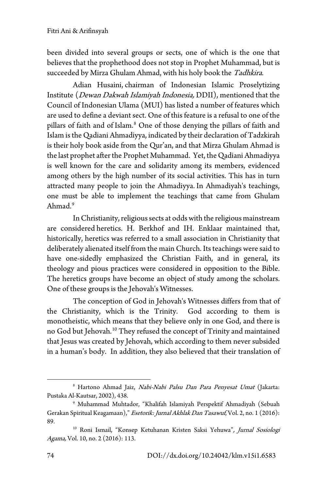been divided into several groups or sects, one of which is the one that believes that the prophethood does not stop in Prophet Muhammad, but is succeeded by Mirza Ghulam Ahmad, with his holy book the Tadhkira.

Adian Husaini, chairman of Indonesian Islamic Proselytizing Institute (Dewan Dakwah Islamiyah Indonesia, DDII), mentioned that the Council of Indonesian Ulama (MUI) has listed a number of features which are used to define a deviant sect. One of this feature is a refusal to one of the pillars of faith and of Islam. [8](#page-3-0) One of those denying the pillars of faith and Islam is the Qadiani Ahmadiyya, indicated by their declaration of Tadzkirah is their holy book aside from the Qur'an, and that Mirza Ghulam Ahmad is the last prophet after the Prophet Muhammad. Yet, the Qadiani Ahmadiyya is well known for the care and solidarity among its members, evidenced among others by the high number of its social activities. This has in turn attracted many people to join the Ahmadiyya. In Ahmadiyah's teachings, one must be able to implement the teachings that came from Ghulam Ahmad. [9](#page-3-1)

In Christianity, religious sects at odds with the religious mainstream are considered heretics. H. Berkhof and IH. Enklaar maintained that, historically, heretics was referred to a small association in Christianity that deliberately alienated itself from the main Church. Its teachings were said to have one-sidedly emphasized the Christian Faith, and in general, its theology and pious practices were considered in opposition to the Bible. The heretics groups have become an object of study among the scholars. One of these groups is the Jehovah's Witnesses.

The conception of God in Jehovah's Witnesses differs from that of the Christianity, which is the Trinity. God according to them is monotheistic, which means that they believe only in one God, and there is no God but Jehovah. [10](#page-3-2) They refused the concept of Trinity and maintained that Jesus was created by Jehovah, which according to them never subsided in a human's body. In addition, they also believed that their translation of

<span id="page-3-0"></span><sup>&</sup>lt;sup>8</sup> Hartono Ahmad Jaiz, Nabi-Nabi Palsu Dan Para Penyesat Umat (Jakarta: Pustaka Al-Kautsar, 2002), 438.

<span id="page-3-1"></span><sup>9</sup> Muhammad Muhtador, "Khalifah Islamiyah Perspektif Ahmadiyah (Sebuah Gerakan Spiritual Keagamaan)," Esetorik: Jurnal Akhlak Dan Tasawuf, Vol. 2, no. 1 (2016): 89.

<span id="page-3-2"></span><sup>&</sup>lt;sup>10</sup> Roni Ismail, "Konsep Ketuhanan Kristen Saksi Yehuwa", Jurnal Sosiologi Agama, Vol. 10, no. 2 (2016): 113.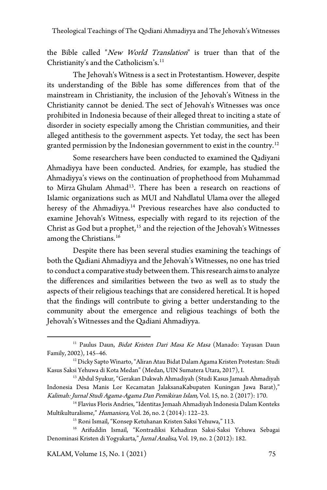the Bible called "New World Translation" is truer than that of the Christianity's and the Catholicism's. [11](#page-4-0)

The Jehovah's Witness is a sect in Protestantism. However, despite its understanding of the Bible has some differences from that of the mainstream in Christianity, the inclusion of the Jehovah's Witness in the Christianity cannot be denied. The sect of Jehovah's Witnesses was once prohibited in Indonesia because of their alleged threat to inciting a state of disorder in society especially among the Christian communities, and their alleged antithesis to the government aspects. Yet today, the sect has been granted permission by the Indonesian government to exist in the country.<sup>[12](#page-4-1)</sup>

Some researchers have been conducted to examined the Qadiyani Ahmadiyya have been conducted. Andries, for example, has studied the Ahmadiyya's views on the continuation of prophethood from Muhammad to Mirza Ghulam Ahmad<sup>13</sup>. There has been a research on reactions of Islamic organizations such as MUI and Nahdlatul Ulama over the alleged heresy of the Ahmadiyya. [14](#page-4-3) Previous researches have also conducted to examine Jehovah's Witness, especially with regard to its rejection of the Christ as God but a prophet, [15](#page-4-4) and the rejection of the Jehovah's Witnesses among the Christians. [16](#page-4-5)

Despite there has been several studies examining the teachings of both the Qadiani Ahmadiyya and the Jehovah's Witnesses, no one has tried to conduct a comparative study between them. This research aims to analyze the differences and similarities between the two as well as to study the aspects of their religious teachings that are considered heretical. It is hoped that the findings will contribute to giving a better understanding to the community about the emergence and religious teachings of both the Jehovah's Witnesses and the Qadiani Ahmadiyya.

KALAM, Volume 15, No. 1 (2021) 75

<span id="page-4-0"></span><sup>&</sup>lt;sup>11</sup> Paulus Daun, *Bidat Kristen Dari Masa Ke Masa* (Manado: Yayasan Daun Family, 2002), 145–46.

<span id="page-4-1"></span><sup>&</sup>lt;sup>12</sup> Dicky Sapto Winarto, "Aliran Atau Bidat Dalam Agama Kristen Protestan: Studi Kasus Saksi Yehuwa di Kota Medan" (Medan, UIN Sumatera Utara, 2017), I.

<span id="page-4-2"></span><sup>&</sup>lt;sup>13</sup> Abdul Syukur, "Gerakan Dakwah Ahmadiyah (Studi Kasus Jamaah Ahmadiyah Indonesia Desa Manis Lor Kecamatan JalaksanaKabupaten Kuningan Jawa Barat)," Kalimah: Jurnal Studi Agama-Agama Dan Pemikiran Islam, Vol. 15, no. 2 (2017): 170.

<span id="page-4-3"></span><sup>&</sup>lt;sup>14</sup> Flavius Floris Andries, "Identitas Jemaah Ahmadiyah Indonesia Dalam Konteks Multikulturalisme," Humaniora, Vol. 26, no. 2 (2014): 122–23.

<sup>&</sup>lt;sup>15</sup> Roni Ismail, "Konsep Ketuhanan Kristen Saksi Yehuwa," 113.

<span id="page-4-5"></span><span id="page-4-4"></span><sup>16</sup> Arifuddin Ismail, "Kontradiksi Kehadiran Saksi-Saksi Yehuwa Sebagai Denominasi Kristen di Yogyakarta," Jurnal Analisa, Vol. 19, no. 2 (2012): 182.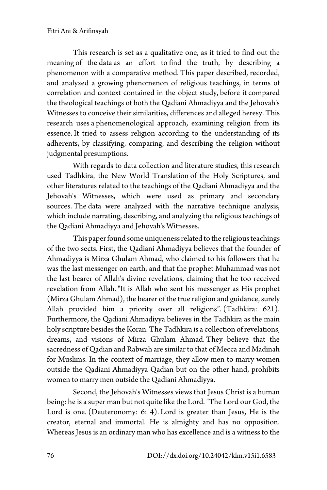This research is set as a qualitative one, as it tried to find out the meaning of the data as an effort to find the truth, by describing a phenomenon with a comparative method. This paper described, recorded, and analyzed a growing phenomenon of religious teachings, in terms of correlation and context contained in the object study, before it compared the theological teachings of both the Qadiani Ahmadiyya and the Jehovah's Witnesses to conceive their similarities, differences and alleged heresy. This research uses a phenomenological approach, examining religion from its essence. It tried to assess religion according to the understanding of its adherents, by classifying, comparing, and describing the religion without judgmental presumptions.

With regards to data collection and literature studies, this research used Tadhkira, the New World Translation of the Holy Scriptures, and other literatures related to the teachings of the Qadiani Ahmadiyya and the Jehovah's Witnesses, which were used as primary and secondary sources. The data were analyzed with the narrative technique analysis, which include narrating, describing, and analyzing the religious teachings of the Qadiani Ahmadiyya and Jehovah's Witnesses.

This paper found some uniqueness related to the religious teachings of the two sects. First, the Qadiani Ahmadiyya believes that the founder of Ahmadiyya is Mirza Ghulam Ahmad, who claimed to his followers that he was the last messenger on earth, and that the prophet Muhammad was not the last bearer of Allah's divine revelations, claiming that he too received revelation from Allah. "It is Allah who sent his messenger as His prophet (Mirza Ghulam Ahmad), the bearer of the true religion and guidance, surely Allah provided him a priority over all religions". (Tadhkira: 621). Furthermore, the Qadiani Ahmadiyya believes in the Tadhkira as the main holy scripture besides the Koran. The Tadhkira is a collection of revelations, dreams, and visions of Mirza Ghulam Ahmad. They believe that the sacredness of Qadian and Rabwah are similar to that of Mecca and Madinah for Muslims. In the context of marriage, they allow men to marry women outside the Qadiani Ahmadiyya Qadian but on the other hand, prohibits women to marry men outside the Qadiani Ahmadiyya.

Second, the Jehovah's Witnesses views that Jesus Christ is a human being: he is a super man but not quite like the Lord. "The Lord our God, the Lord is one. (Deuteronomy: 6: 4). Lord is greater than Jesus, He is the creator, eternal and immortal. He is almighty and has no opposition. Whereas Jesus is an ordinary man who has excellence and is a witness to the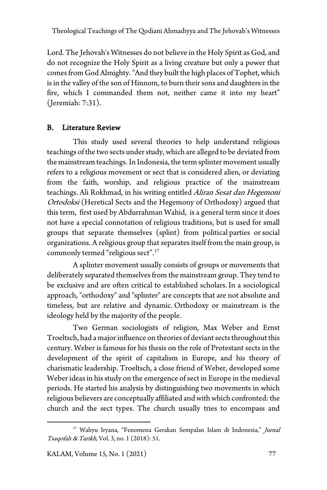Lord. The Jehovah's Witnesses do not believe in the Holy Spirit as God, and do not recognize the Holy Spirit as a living creature but only a power that comes from God Almighty. "And they built the high places of Tophet, which is in the valley of the son of Hinnom, to burn their sons and daughters in the fire, which I commanded them not, neither came it into my heart" (Jeremiah: 7:31).

# B. Literature Review

This study used several theories to help understand religious teachings of the two sects under study, which are alleged to be deviated from the mainstream teachings. In Indonesia, the term splinter movement usually refers to a religious movement or sect that is considered alien, or deviating from the faith, worship, and religious practice of the mainstream teachings. Ali Rokhmad, in his writing entitled Aliran Sesat dan Hegemoni Ortodoksi (Heretical Sects and the Hegemony of Orthodoxy) argued that this term, first used by Abdurrahman Wahid, is a general term since it does not have a special connotation of religious traditions, but is used for small groups that separate themselves (splint) from political parties or social organizations. A religious group that separates itself from the main group, is commonly termed "religious sect".[17](#page-6-0)

A splinter movement usually consists of groups or movements that deliberately separated themselves from the mainstream group. They tend to be exclusive and are often critical to established scholars. In a sociological approach, "orthodoxy" and "splinter" are concepts that are not absolute and timeless, but are relative and dynamic. Orthodoxy or mainstream is the ideology held by the majority of the people.

Two German sociologists of religion, Max Weber and Ernst Troeltsch, had a major influence on theories of deviant sects throughout this century. Weber is famous for his thesis on the role of Protestant sects in the development of the spirit of capitalism in Europe, and his theory of charismatic leadership. Troeltsch, a close friend of Weber, developed some Weber ideas in his study on the emergence of sect in Europe in the medieval periods. He started his analysis by distinguishing two movements in which religious believers are conceptually affiliated and with which confronted: the church and the sect types. The church usually tries to encompass and

<span id="page-6-0"></span><sup>&</sup>lt;sup>17</sup> Wahyu Iryana, "Fenomena Gerakan Sempalan Islam di Indonesia," Jurnal Tsaqofah & Tarikh, Vol. 3, no. 1 (2018): 51.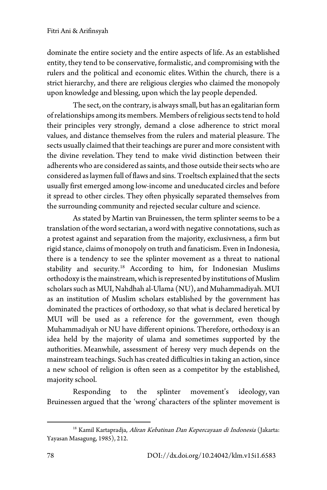dominate the entire society and the entire aspects of life. As an established entity, they tend to be conservative, formalistic, and compromising with the rulers and the political and economic elites. Within the church, there is a strict hierarchy, and there are religious clergies who claimed the monopoly upon knowledge and blessing, upon which the lay people depended.

The sect, on the contrary, is always small, but has an egalitarian form of relationships among its members. Members of religious sects tend to hold their principles very strongly, demand a close adherence to strict moral values, and distance themselves from the rulers and material pleasure. The sects usually claimed that their teachings are purer and more consistent with the divine revelation. They tend to make vivid distinction between their adherents who are considered as saints, and those outside their sects who are considered as laymen full of flaws and sins. Troeltsch explained that the sects usually first emerged among low-income and uneducated circles and before it spread to other circles. They often physically separated themselves from the surrounding community and rejected secular culture and science.

As stated by Martin van Bruinessen, the term splinter seems to be a translation of the word sectarian, a word with negative connotations, such as a protest against and separation from the majority, exclusivness, a firm but rigid stance, claims of monopoly on truth and fanaticism. Even in Indonesia, there is a tendency to see the splinter movement as a threat to national stability and security. [18](#page-7-0) According to him, for Indonesian Muslims orthodoxy is the mainstream, which is represented by institutions of Muslim scholars such as MUI, Nahdhah al-Ulama (NU), and Muhammadiyah. MUI as an institution of Muslim scholars established by the government has dominated the practices of orthodoxy, so that what is declared heretical by MUI will be used as a reference for the government, even though Muhammadiyah or NU have different opinions. Therefore, orthodoxy is an idea held by the majority of ulama and sometimes supported by the authorities. Meanwhile, assessment of heresy very much depends on the mainstream teachings. Such has created difficulties in taking an action, since a new school of religion is often seen as a competitor by the established, majority school.

Responding to the splinter movement's ideology, van Bruinessen argued that the 'wrong' characters of the splinter movement is

<span id="page-7-0"></span><sup>&</sup>lt;sup>18</sup> Kamil Kartapradja, Aliran Kebatinan Dan Kepercayaan di Indonesia (Jakarta: Yayasan Masagung, 1985), 212.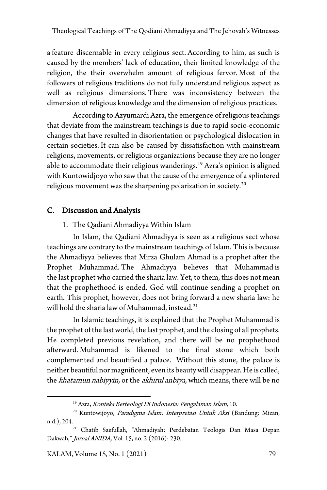a feature discernable in every religious sect. According to him, as such is caused by the members' lack of education, their limited knowledge of the religion, the their overwhelm amount of religious fervor. Most of the followers of religious traditions do not fully understand religious aspect as well as religious dimensions. There was inconsistency between the dimension of religious knowledge and the dimension of religious practices.

According to Azyumardi Azra, the emergence of religious teachings that deviate from the mainstream teachings is due to rapid socio-economic changes that have resulted in disorientation or psychological dislocation in certain societies. It can also be caused by dissatisfaction with mainstream religions, movements, or religious organizations because they are no longer able to accommodate their religious wanderings. [19](#page-8-0) Azra's opinion is aligned with Kuntowidjoyo who saw that the cause of the emergence of a splintered religious movement was the sharpening polarization in society. [20](#page-8-1)

## C. Discussion and Analysis

#### 1. The Qadiani Ahmadiyya Within Islam

In Islam, the Qadiani Ahmadiyya is seen as a religious sect whose teachings are contrary to the mainstream teachings of Islam. This is because the Ahmadiyya believes that Mirza Ghulam Ahmad is a prophet after the Prophet Muhammad. The Ahmadiyya believes that Muhammad is the last prophet who carried the sharia law. Yet, to them, this does not mean that the prophethood is ended. God will continue sending a prophet on earth. This prophet, however, does not bring forward a new sharia law: he will hold the sharia law of Muhammad, instead. $^{21}$ 

In Islamic teachings, it is explained that the Prophet Muhammad is the prophet of the last world, the last prophet, and the closing of all prophets. He completed previous revelation, and there will be no prophethood afterward. Muhammad is likened to the final stone which both complemented and beautified a palace. Without this stone, the palace is neither beautiful nor magnificent, even its beauty will disappear. He is called, the khatamun nabiyyin, or the akhirul anbiya, which means, there will be no

<sup>&</sup>lt;sup>19</sup> Azra, Konteks Berteologi Di Indonesia: Pengalaman Islam, 10.

<span id="page-8-1"></span><span id="page-8-0"></span><sup>&</sup>lt;sup>20</sup> Kuntowijoyo, Paradigma Islam: Interpretasi Untuk Aksi (Bandung: Mizan, n.d.), 204.<br><sup>21</sup> Chatib Saefullah, "Ahmadiyah: Perdebatan Teologis Dan Masa Depan

<span id="page-8-2"></span>Dakwah," Jurnal ANIDA, Vol. 15, no. 2 (2016): 230.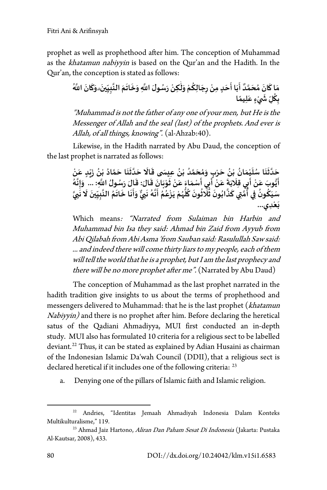prophet as well as prophethood after him. The conception of Muhammad as the khatamun nabiyyin is based on the Qur'an and the Hadith. In the Qur'an, the conception is stated as follows:

**ِ َّ** مَا كَانَ مُحَمَّدٌ أَبَا أَحَدٍ مِنْ رِجَالِكُمْ وَلَٰكِنْ رَسُولَ اللَّهِ وَخَاتَمَ النَّبِيِّينَ وَكَانَ اللَّهُ **ُْٰ َ َ ََُْ َ َ ََُّ َّ َ َلله على المستعدات**<br>بِكُلِّ شَيْءٍ عَلِيمًا **َ ْ َّ**

"Muhammad is not the father of any one of your men, but He is the Messenger of Allah and the seal (last) of the prophets. And ever is Allah, of all things, knowing". (al-Ahzab:40).

Likewise, in the Hadith narrated by Abu Daud, the conception of the last prophet is narrated as follows:

> **ْ** .<br>دَّثَنَا سُلَيْمَانُ بْنُ حَرْبٍ وَمُحَمَّدُ بْنُ عِيسَى قَالَا حَدَّثَنَا حَمَّادُ بْنُ زَيْدٍ عَنْ **ْ َ ََُ َّ ََُْ َََ َُ َّ َ**حَدَّثْنَا سُلَيْمَانُ بْنُ حَرْبٍ وَمُحَمَّدُ بْنُ عِيسَى قَالَا حَدَّثْنَا حَمَّادُ بْنُ زَيْدٍ عَنْ<br>أَيُّوبَ عَنْ أَبِي قِلَابَةَ عَنْ أَبِي أَسْمَاءَ عَنْ ثَوْبَانَ قَالَ: قَالَ رَسُولُ اللَّهِ: ... وَإِنَّهُ<br>عَيضُ مُ **َ َ ُّ َ ْ َ ََْ َّ ََُُّ َ َّ** .يوب عن أَبِي صِرْبة عن أَبِي اسْتُمَاع عن نوبان صَان: صَان رَسُونَ النَّذِ.... وإنه<br>سَيَكُونُ فِي أُمَّتِي كَذَّابُونَ ثَلَاثُونَ كُلُّهُمْ يَزْعُمُ أَنَّهُ نَبِيٌّ وَأَنَا خَاتَمُ النَّبِيِّينَ لَا نَبِيَّ **َ ّ َّ َ ََ َ َ َّ َ ُُّ ُ ُ ََ ََُّ ' َِدي � ... َع ْ**

Which means: "Narrated from Sulaiman bin Harbin and Muhammad bin Isa they said: Ahmad bin Zaid from Ayyub from Abi Qilabah from Abi Asma 'from Sauban said: Rasulullah Saw said: ... and indeed there will come thirty liars to my people, each of them will tell the world that he is a prophet, but I am the last prophecy and there will be no more prophet after me". (Narrated by Abu Daud)

The conception of Muhammad as the last prophet narrated in the hadith tradition give insights to us about the terms of prophethood and messengers delivered to Muhammad: that he is the last prophet (khatamun Nabiyyin) and there is no prophet after him. Before declaring the heretical satus of the Qadiani Ahmadiyya, MUI first conducted an in-depth study. MUI also has formulated 10 criteria for a religious sect to be labelled deviant. [22](#page-9-0) Thus, it can be stated as explained by Adian Husaini as chairman of the Indonesian Islamic Da'wah Council (DDII), that a religious sect is declared heretical if it includes one of the following criteria: <sup>[23](#page-9-1)</sup>

a. Denying one of the pillars of Islamic faith and Islamic religion.

<span id="page-9-0"></span><sup>22</sup> Andries, "Identitas Jemaah Ahmadiyah Indonesia Dalam Konteks Multikulturalisme," 119.

<span id="page-9-1"></span><sup>&</sup>lt;sup>23</sup> Ahmad Jaiz Hartono, *Aliran Dan Paham Sesat Di Indonesia* (Jakarta: Pustaka Al-Kautsar, 2008), 433.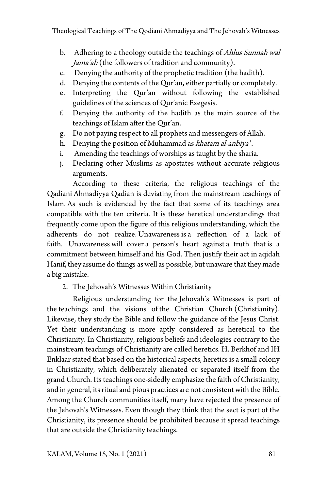- b. Adhering to a theology outside the teachings of *Ahlus Sunnah wal* Jama'ah (the followers of tradition and community).
- c. Denying the authority of the prophetic tradition (the hadith).
- d. Denying the contents of the Qur'an, either partially or completely.
- e. Interpreting the Qur'an without following the established guidelines of the sciences of Qur'anic Exegesis.
- f. Denying the authority of the hadith as the main source of the teachings of Islam after the Qur'an.
- g. Do not paying respect to all prophets and messengers of Allah.
- h. Denying the position of Muhammad as khatam al-anbiya '.
- i. Amending the teachings of worships as taught by the sharia.
- j. Declaring other Muslims as apostates without accurate religious arguments.

According to these criteria, the religious teachings of the Qadiani Ahmadiyya Qadian is deviating from the mainstream teachings of Islam. As such is evidenced by the fact that some of its teachings area compatible with the ten criteria. It is these heretical understandings that frequently come upon the figure of this religious understanding, which the adherents do not realize. Unawareness is a reflection of a lack of faith. Unawareness will cover a person's heart against a truth that is a commitment between himself and his God. Then justify their act in aqidah Hanif, they assume do things as well as possible, but unaware that they made a big mistake.

2. The Jehovah's Witnesses Within Christianity

Religious understanding for the Jehovah's Witnesses is part of the teachings and the visions of the Christian Church (Christianity). Likewise, they study the Bible and follow the guidance of the Jesus Christ. Yet their understanding is more aptly considered as heretical to the Christianity. In Christianity, religious beliefs and ideologies contrary to the mainstream teachings of Christianity are called heretics. H. Berkhof and IH Enklaar stated that based on the historical aspects, heretics is a small colony in Christianity, which deliberately alienated or separated itself from the grand Church. Its teachings one-sidedly emphasize the faith of Christianity, and in general, its ritual and pious practices are not consistent with the Bible. Among the Church communities itself, many have rejected the presence of the Jehovah's Witnesses. Even though they think that the sect is part of the Christianity, its presence should be prohibited because it spread teachings that are outside the Christianity teachings.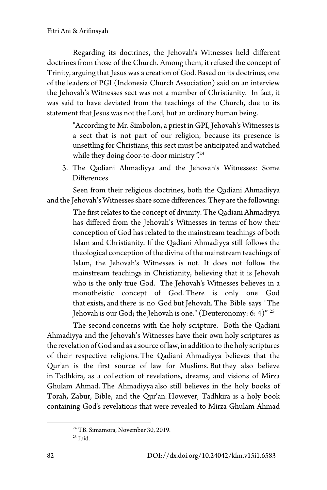Regarding its doctrines, the Jehovah's Witnesses held different doctrines from those of the Church. Among them, it refused the concept of Trinity, arguing that Jesus was a creation of God. Based on its doctrines, one of the leaders of PGI (Indonesia Church Association) said on an interview the Jehovah's Witnesses sect was not a member of Christianity. In fact, it was said to have deviated from the teachings of the Church, due to its statement that Jesus was not the Lord, but an ordinary human being.

> "According to Mr. Simbolon, a priest in GPI, Jehovah's Witnesses is a sect that is not part of our religion, because its presence is unsettling for Christians, this sect must be anticipated and watched while they doing door-to-door ministry". [24](#page-11-0)

3. The Qadiani Ahmadiyya and the Jehovah's Witnesses: Some Differences

Seen from their religious doctrines, both the Qadiani Ahmadiyya and the Jehovah's Witnesses share some differences. They are the following:

> The first relates to the concept of divinity. The Qadiani Ahmadiyya has differed from the Jehovah's Witnesses in terms of how their conception of God has related to the mainstream teachings of both Islam and Christianity. If the Qadiani Ahmadiyya still follows the theological conception of the divine of the mainstream teachings of Islam, the Jehovah's Witnesses is not. It does not follow the mainstream teachings in Christianity, believing that it is Jehovah who is the only true God. The Jehovah's Witnesses believes in a monotheistic concept of God. There is only one God that exists, and there is no God but Jehovah. The Bible says "The Jehovah is our God; the Jehovah is one." (Deuteronomy: 6: 4)<sup>" [25](#page-11-1)</sup>

The second concerns with the holy scripture. Both the Qadiani Ahmadiyya and the Jehovah's Witnesses have their own holy scriptures as the revelation of God and as a source of law, in addition to the holy scriptures of their respective religions. The Qadiani Ahmadiyya believes that the Qur'an is the first source of law for Muslims. But they also believe in Tadhkira, as a collection of revelations, dreams, and visions of Mirza Ghulam Ahmad. The Ahmadiyya also still believes in the holy books of Torah, Zabur, Bible, and the Qur'an. However, Tadhkira is a holy book containing God's revelations that were revealed to Mirza Ghulam Ahmad

<span id="page-11-1"></span><span id="page-11-0"></span><sup>24</sup> TB. Simamora, November 30, 2019.

 $25$  Ibid.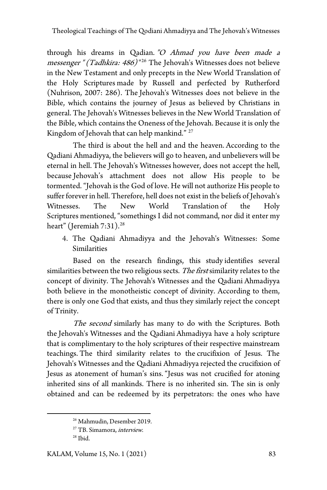through his dreams in Qadian. "O Ahmad you have been made a messenger " (Tadhkira: 486)<sup>"[26](#page-12-0)</sup> The Jehovah's Witnesses does not believe in the New Testament and only precepts in the New World Translation of the Holy Scriptures made by Russell and perfected by Rutherford (Nuhrison, 2007: 286). The Jehovah's Witnesses does not believe in the Bible, which contains the journey of Jesus as believed by Christians in general. The Jehovah's Witnesses believes in the New World Translation of the Bible, which contains the Oneness of the Jehovah. Because it is only the Kingdom of Jehovah that can help mankind." <sup>[27](#page-12-1)</sup>

The third is about the hell and and the heaven. According to the Qadiani Ahmadiyya, the believers will go to heaven, and unbelievers will be eternal in hell. The Jehovah's Witnesses however, does not accept the hell, because Jehovah's attachment does not allow His people to be tormented. "Jehovah is the God of love. He will not authorize His people to suffer forever in hell. Therefore, hell does not exist in the beliefs of Jehovah's Witnesses. The New World Translation of the Holy Scriptures mentioned, "somethings I did not command, nor did it enter my heart" (Jeremiah 7:31). [28](#page-12-2)

4. The Qadiani Ahmadiyya and the Jehovah's Witnesses: Some Similarities

Based on the research findings, this study identifies several similarities between the two religious sects. The first similarity relates to the concept of divinity. The Jehovah's Witnesses and the Qadiani Ahmadiyya both believe in the monotheistic concept of divinity. According to them, there is only one God that exists, and thus they similarly reject the concept of Trinity.

The second similarly has many to do with the Scriptures. Both the Jehovah's Witnesses and the Qadiani Ahmadiyya have a holy scripture that is complimentary to the holy scriptures of their respective mainstream teachings. The third similarity relates to the crucifixion of Jesus. The Jehovah's Witnesses and the Qadiani Ahmadiyya rejected the crucifixion of Jesus as atonement of human's sins. "Jesus was not crucified for atoning inherited sins of all mankinds. There is no inherited sin. The sin is only obtained and can be redeemed by its perpetrators: the ones who have

<span id="page-12-0"></span><sup>26</sup> Mahmudin, Desember 2019.

<span id="page-12-1"></span><sup>&</sup>lt;sup>27</sup> TB. Simamora, *interview*.

<span id="page-12-2"></span> $28$  Ibid.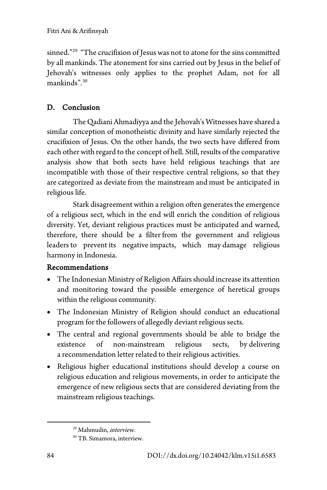sinned."<sup>29</sup> "The crucifixion of Jesus was not to atone for the sins committed by all mankinds. The atonement for sins carried out by Jesus in the belief of Jehovah's witnesses only applies to the prophet Adam, not for all mankinds".[30](#page-13-1)

# D. Conclusion

The Qadiani Ahmadiyya and the Jehovah's Witnesses have shared a similar conception of monotheistic divinity and have similarly rejected the crucifixion of Jesus. On the other hands, the two sects have differed from each other with regard to the concept of hell. Still, results of the comparative analysis show that both sects have held religious teachings that are incompatible with those of their respective central religions, so that they are categorized as deviate from the mainstream and must be anticipated in religious life.

Stark disagreement within a religion often generates the emergence of a religious sect, which in the end will enrich the condition of religious diversity. Yet, deviant religious practices must be anticipated and warned, therefore, there should be a filter from the government and religious leaders to prevent its negative impacts, which may damage religious harmony in Indonesia.

## Recommendations

- The Indonesian Ministry of Religion Affairs should increase its attention and monitoring toward the possible emergence of heretical groups within the religious community.
- The Indonesian Ministry of Religion should conduct an educational program for the followers of allegedly deviant religious sects.
- The central and regional governments should be able to bridge the existence of non-mainstream religious sects, by delivering a recommendation letter related to their religious activities.
- Religious higher educational institutions should develop a course on religious education and religious movements, in order to anticipate the emergence of new religious sects that are considered deviating from the mainstream religious teachings.

<sup>&</sup>lt;sup>29</sup> Mahmudin, *interview*.

<span id="page-13-1"></span><span id="page-13-0"></span><sup>&</sup>lt;sup>30</sup> TB. Simamora, interview.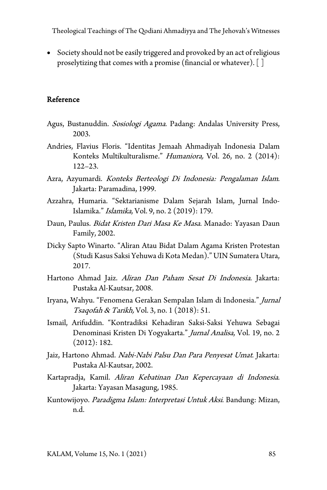• Society should not be easily triggered and provoked by an act of religious proselytizing that comes with a promise (financial or whatever).[]

#### Reference

- Agus, Bustanuddin. Sosiologi Agama. Padang: Andalas University Press, 2003.
- Andries, Flavius Floris. "Identitas Jemaah Ahmadiyah Indonesia Dalam Konteks Multikulturalisme." Humaniora, Vol. 26, no. 2 (2014): 122–23.
- Azra, Azyumardi. Konteks Berteologi Di Indonesia: Pengalaman Islam. Jakarta: Paramadina, 1999.
- Azzahra, Humaria. "Sektarianisme Dalam Sejarah Islam, Jurnal Indo-Islamika." Islamika, Vol. 9, no. 2 (2019): 179.
- Daun, Paulus. Bidat Kristen Dari Masa Ke Masa. Manado: Yayasan Daun Family, 2002.
- Dicky Sapto Winarto. "Aliran Atau Bidat Dalam Agama Kristen Protestan (Studi Kasus Saksi Yehuwa di Kota Medan)." UIN Sumatera Utara, 2017.
- Hartono Ahmad Jaiz. Aliran Dan Paham Sesat Di Indonesia. Jakarta: Pustaka Al-Kautsar, 2008.
- Iryana, Wahyu. "Fenomena Gerakan Sempalan Islam di Indonesia." Jurnal Tsaqofah & Tarikh, Vol. 3, no. 1 (2018): 51.
- Ismail, Arifuddin. "Kontradiksi Kehadiran Saksi-Saksi Yehuwa Sebagai Denominasi Kristen Di Yogyakarta." Jurnal Analisa, Vol. 19, no. 2 (2012): 182.
- Jaiz, Hartono Ahmad. Nabi-Nabi Palsu Dan Para Penyesat Umat. Jakarta: Pustaka Al-Kautsar, 2002.
- Kartapradja, Kamil. Aliran Kebatinan Dan Kepercayaan di Indonesia. Jakarta: Yayasan Masagung, 1985.
- Kuntowijoyo. Paradigma Islam: Interpretasi Untuk Aksi. Bandung: Mizan, n.d.